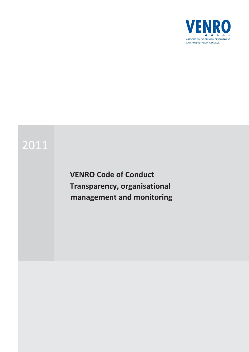

# 2011

**VENRO Code of Conduct Transparency, organisational management and monitoring**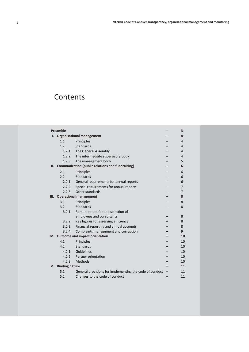## **Contents**

| Preamble |                                       |                                                         | 3              |
|----------|---------------------------------------|---------------------------------------------------------|----------------|
| ı.       | <b>Organisational management</b>      |                                                         | 4              |
|          | 1.1                                   | Principles                                              | 4              |
|          | 1.2                                   | <b>Standards</b>                                        | 4              |
|          | 1.2.1                                 | The General Assembly                                    | 4              |
|          | 1.2.2                                 | The intermediate supervisory body                       | 4              |
|          | 1.2.3                                 | The management body                                     | 5              |
| II.      |                                       | <b>Communication (public relations and fundraising)</b> | 6              |
|          | 2.1                                   | Principles                                              | 6              |
|          | 2.2                                   | <b>Standards</b>                                        | 6              |
|          | 2.2.1                                 | General requirements for annual reports                 | 6              |
|          | 2.2.2                                 | Special requirements for annual reports                 | 7              |
|          | 2.2.3                                 | Other standards                                         | $\overline{7}$ |
| Ш.       |                                       | <b>Operational management</b>                           | 8              |
|          | 3.1                                   | Principles                                              | 8              |
|          | 3.2                                   | <b>Standards</b>                                        | 8              |
|          | 3.2.1                                 | Remuneration for and selection of                       |                |
|          |                                       | employees and consultants                               | 8              |
|          | 3.2.2                                 | Key figures for assessing efficiency                    | 8              |
|          | 3.2.3                                 | Financial reporting and annual accounts                 | 8              |
|          | 3.2.4                                 | Complaints management and corruption                    | 9              |
| IV.      | <b>Outcome and impact orientation</b> |                                                         | 10             |
|          | 4.1                                   | Principles                                              | 10             |
|          | 4.2                                   | <b>Standards</b>                                        | 10             |
|          | 4.2.1                                 | Guidelines                                              | 10             |
|          | 4.2.2                                 | Partner orientation                                     | 10             |
|          | 4.2.3                                 | Methods                                                 | 10             |
| V.       | <b>Binding nature</b>                 |                                                         | 11             |
|          | 5.1                                   | General provisions for implementing the code of conduct | 11             |
|          | 5.2                                   | Changes to the code of conduct                          | 11             |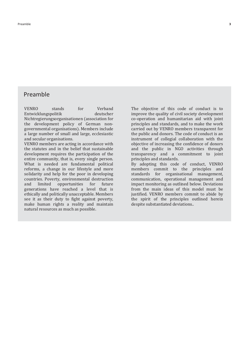### <span id="page-2-0"></span>Preamble

VENRO stands for Verband Entwicklungspolitik Nichtregierungsorganisationen (association for the development policy of German nongovernmental organisations). Members include a large number of small and large, ecclesiastic and secular organisations. VENRO members are acting in accordance with

the statutes and in the belief that sustainable development requires the participation of the entire community, that is, every single person. What is needed are fundamental political reforms, a change in our lifestyle and more solidarity and help for the poor in developing countries. Poverty, environmental destruction and limited opportunities for future generations have reached a level that is ethically and politically unacceptable. Members see it as their duty to fight against poverty, make human rights a reality and maintain natural resources as much as possible.

The objective of this code of conduct is to improve the quality of civil society development co-operation and humanitarian aid with joint principles and standards, and to make the work carried out by VENRO members transparent for the public and donors. The code of conduct is an instrument of collegial collaboration with the objective of increasing the confidence of donors and the public in NGO activities through transparency and a commitment to joint principles and standards. By adopting this code of conduct, VENRO members commit to the principles and standards for organisational management, communication, operational management and

impact monitoring as outlined below. Deviations from the main ideas of this model must be justified. VENRO members commit to abide by the spirit of the principles outlined herein despite substantiated deviations..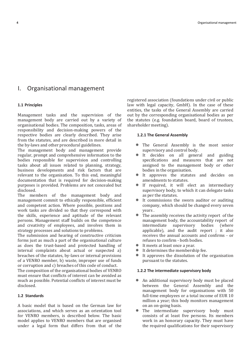### <span id="page-3-0"></span>I. Organisational management

### <span id="page-3-1"></span>**1.1 Principles**

Management tasks and the supervision of the management body are carried out by a variety of organisational bodies. The composition, tasks, areas of responsibility and decision-making powers of the respective bodies are clearly described. They arise from the statutes, and are described in more detail in the by-laws and other procedural guidelines.

The management body and management provide regular, prompt and comprehensive information to the bodies responsible for supervision and controlling tasks about all issues related to planning, strategy, business developments and risk factors that are relevant to the organisation. To this end, meaningful documentation that is required for decision-making purposes is provided. Problems are not concealed but disclosed.

The members of the management body and management commit to ethically responsible, efficient and competent action. Where possible, positions and work tasks are divided so that they correspond with the skills, experience and aptitude of the relevant persons. Management staff builds on the competence and creativity of employees, and involves them in strategy processes and solutions to problems.

The submission and hearing of constructive criticism forms just as much a part of the organisational culture as does the trust-based and protected handling of internal complaints about actual or suspected a) breaches of the statutes, by-laws or internal provisions of a VENRO member, b) waste, improper use of funds or corruption and c) breaches of this code of conduct.

The composition of the organisational bodies of VENRO must ensure that conflicts of interest can be avoided as much as possible. Potential conflicts of interest must be disclosed.

### <span id="page-3-2"></span>**1.2 Standards**

A basic model that is based on the German law for associations, and which serves as an orientation tool for VENRO members, is described below. The basic model applies to VENRO members that are organised under a legal form that differs from that of the

registered association (foundations under civil or public law with legal capacity, GmbH). In the case of these entities, the tasks of the General Assembly are carried out by the corresponding organisational bodies as per the statutes (e.g. foundation board, board of trustees, shareholder meeting).

### <span id="page-3-3"></span>**1.2.1 The General Assembly**

- The General Assembly is the most senior supervisory and control body.
- It decides on all general and guiding specifications and measures that are not assigned to the management body or other bodies in the organisation.
- It approves the statutes and decides on amendments to statutes.
- If required, it will elect an intermediary supervisory body, to which it can delegate tasks as per the statutes.
- It commissions the sworn auditor or auditing company, which should be changed every seven years .
- The assembly receives the activity report of the management body, the accountability report of intermediate supervisory bodies (where applicable), and the audit report ; it also receives the annual accounts and confirms - or refuses to confirm - both bodies.
- It meets at least once a year.
- $\bullet$ It determines the membership fee.
- It approves the dissolution of the organisation pursuant to the statutes.

### <span id="page-3-4"></span>**1.2.2 The intermediate supervisory body**

- An additional supervisory body must be placed between the General Assembly and the management body for organisations with 50 full-time employees or a total income of EUR 10 million a year; this body monitors management on an on-going basis.
- The intermediate supervisory body must consists of at least five persons. Its members work in an honorary capacity. They must have the required qualifications for their supervisory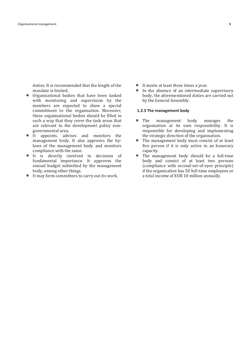duties. It is recommended that the length of the mandate is limited.

- Organisational bodies that have been tasked with monitoring and supervision by the members are expected to show a special commitment to the organisation. Moreover, these organisational bodies should be filled in such a way that they cover the task areas that are relevant to the development policy nongovernmental area.
- It appoints, advises and monitors the management body. It also approves the bylaws of the management body and monitors compliance with the same.
- $\bullet$ It is directly involved in decisions of fundamental importance. It approves the annual budget submitted by the management body, among other things.
- It may form committees to carry out its work.
- It meets at least three times a year.
- In the absence of an intermediate supervisory body, the aforementioned duties are carried out by the General Assembly.

### <span id="page-4-0"></span>**1.2.3 The management body**

- The management body manages the organisation at its own responsibility. It is responsible for developing and implementing the strategic direction of the organisation.
- $\bullet$ The management body must consist of at least five person if it is only active in an honorary capacity.
- The management body should be a full-time  $\bullet$ body and consist of at least two persons (compliance with second-set-of-eyes principle) if the organisation has 50 full-time employees or a total income of EUR 10 million annually.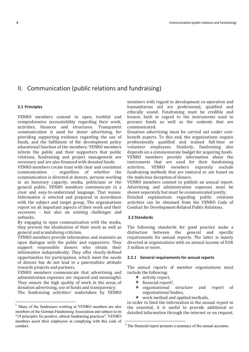### <span id="page-5-0"></span>II. Communication (public relations and fundraising)

### <span id="page-5-1"></span>**2.1 Principles**

l

VENRO members commit to open, truthful and comprehensive accountability regarding their work, activities, finances and structures. Transparent communication is used for donor advertising, for providing supporting evidence regarding the use of funds, and the fulfilment of the development policy educational function of the members. VENRO members inform the public and their supporters that public relations, fundraising and project management are necessary and are also financed with donated funds.

VENRO members create trust with clear and consistent communication - regardless of whether the communication is directed at donors, persons working in an honorary capacity, media, politicians or the general public. VENRO members communicate in a clear and easy-to-understand language. That means: Information is selected and prepared in accordance with the subject and target group. The organisations report on all important aspects of their work and their successes - but also on existing challenges and setbacks.

By engaging in open communication with the media, they prevent the idealisation of their work as well as general and scandalising criticism.

VENRO members provide information and maintain an open dialogue with the public and supporters. They support responsible donors who obtain their information independently. They offer clearly-defined opportunities for participation, which meet the needs of donors but do not lead to a paternalistic attitude towards projects and partners.

VENRO members communicate that advertising and administration expenses are required and meaningful. They ensure the high quality of work in the areas of donation advertising, use of funds and transparency.

The fundraising activities<sup>1</sup> undertaken by VENRO

members with regard to development co-operation and humanitarian aid are professional, qualified and ethically sound. Fundraising must be credible and honest, both in regard to the instruments used to procure funds as well as the contents that are communicated.

Donation advertising must be carried out under costbenefit aspects. To this end, the organisations require professionally qualified and trained full-time or volunteer employees. Similarly, fundraising also depends on a commensurate budget for acquiring funds. VENRO members provide information about the instruments that are used for their fundraising activities. VENRO members expressly exclude fundraising methods that are immoral or are based on the malicious deception of donors.

VENRO members commit to publish an annual report. Advertising and administration expenses must be shown separately but must be communicated jointly.

Detailed explanations regarding public relations activities can be obtained from the VENRO Code of Conduct for Development-Related Public Relations.

### <span id="page-5-2"></span>**2.2 Standards**

<u>.</u>

The following standards for good practice make a distinction between the general and specific requirements for annual reports. The latter is mainly directed at organisations with an annual income of EUR 3 million or more.

### <span id="page-5-3"></span>**2.2.1 General requirements for annual reports**

The annual reports of member organisations must include the following:

- $\bullet$ activity report,
- $\bullet$ financial report<sup>2</sup>,
- ٠ organisational structure and report of organisational bodies,
- work method and applied methods.

In order to limit the information in the annual report to the essential, it is useful to provide additional or detailed information through the internet or on request.

<sup>&</sup>lt;sup>1</sup> Many of the fundraisers working at VENRO members are also members of the German Fundraising Association and subject to its "19 principles for positive, ethical fundraising practices". VENRO members assist their employees in complying with this code of conduct.

<sup>&</sup>lt;sup>2</sup> The financial report presents a summary of the annual accounts.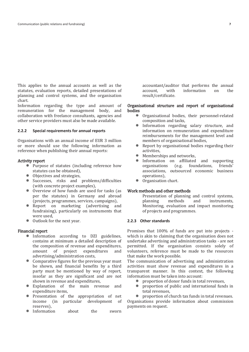This applies to the annual accounts as well as the statutes, evaluation reports, detailed presentations of planning and control systems, and the organisation chart.

Information regarding the type and amount of remuneration for the management body, and collaboration with freelance consultants, agencies and other service providers must also be made available.

### <span id="page-6-0"></span>**2.2.2 Special requirements for annual reports**

Organisations with an annual income of EUR 3 million or more should use the following information as reference when publishing their annual reports:

### Activity report

- Purpose of statutes (including reference how statutes can be obtained),
- Objectives and strategies,
- Successes, risks and problems/difficulties (with concrete project examples),
- Overview of how funds are used for tasks (as per the statutes) in Germany and abroad (projects, programmes, services, campaigns),
- Report on marketing (advertising and fundraising), particularly on instruments that were used,
- Outlook for the next year.

### Financial report

- Information according to DZI guidelines, contains at minimum a detailed description of the composition of revenue and expenditures, amount of project expenditures and advertising/administration costs,
- Comparative figures for the previous year must be shown, and financial benefits by a third party must be mentioned by way of report, insofar as they are significant and are not shown in revenue and expenditures,
- Explanation of the main revenue and expenditure items,
- Presentation of the appropriation of net income (in particular development of reserves),
- Information about the sworn

accountant/auditor that performs the annual account, with information on the result/certificate.

### Organisational structure and report of organisational bodies

- Organisational bodies, their personnel-related composition and tasks,
- Information regarding salary structure, and information on remuneration and expenditure reimbursements for the management level and members of organisational bodies,
- Report by organisational bodies regarding their ٠ activities,
- . Memberships and networks,
- Information on affiliated and supporting organisations (e.g. foundations, friends' associations, outsourced economic business operations),
- Organisation chart.

### Work methods and other methods

Presentation of planning and control systems,<br>planning methods and instruments, methods and instruments, Monitoring, evaluation and impact monitoring of projects and programmes.

### <span id="page-6-1"></span>**2.2.3 Other standards**

Promises that 100% of funds are put into projects which is akin to claiming that the organisation does not undertake advertising and administration tasks - are not permitted. If the organisation consists solely of volunteers, reference must be made to the resources that make the work possible.

The communication of advertising and administration activities must show revenue and expenditures in a transparent manner. In this context, the following information must be taken into account:

- proportion of donor funds in total revenues,
- ٠ proportion of public and international funds in total revenues,

proportion of church tax funds in total revenues. Organisations provide information about commission payments on request.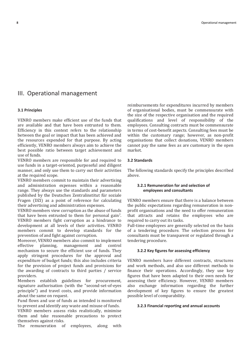### <span id="page-7-0"></span>III. Operational management

### <span id="page-7-1"></span>**3.1 Principles**

VENRO members make efficient use of the funds that are available and that have been entrusted to them. Efficiency in this context refers to the relationship between the goal or impact that has been achieved and the resources expended for that purpose. By acting efficiently, VENRO members always aim to achieve the best possible ratio between target achievement and use of funds.

VENRO members are responsible for and required to use funds in a target-oriented, purposeful and diligent manner, and only use them to carry out their activities at the required scope.

VENRO members commit to maintain their advertising and administration expenses within a reasonable range. They always use the standards and parameters published by the Deutsches Zentralinstitut für soziale Fragen (DZI) as a point of reference for calculating their advertising and administration expenses.

VENRO members view corruption as the abuse of funds that have been entrusted to them for personal gain7. VENRO members fight corruption as a hindrance to development at all levels of their activities. VENRO members commit to develop standards for the prevention of and fight against corruption.

Moreover, VENRO members also commit to implement effective planning, management and control mechanism to secure the efficient use of funds. They apply stringent procedures for the approval and expenditure of budget funds; this also includes criteria for the provision of project funds and provisions for the awarding of contracts to third parties / service providers.

Members establish guidelines for procurement, signature authorisation (with the "second-set-of-eyes principle") and travel costs, and provide information about the same on request.

Fund flows and use of funds as intended is monitored to prevent and identify any waste and misuse of funds.

VENRO members assess risks realistically, minimise them and take reasonable precautions to protect themselves against risks.

The remuneration of employees, along with

reimbursements for expenditures incurred by members of organisational bodies, must be commensurate with the size of the respective organisation and the required qualifications and level of responsibility of the employees. Consulting contracts must be commensurate in terms of cost-benefit aspects. Consulting fees must be within the customary range; however, as non-profit organisations that collect donations, VENRO members cannot pay the same fees as are customary in the open market.

### <span id="page-7-2"></span>**3.2 Standards**

<span id="page-7-3"></span>The following standards specify the principles described above.

### **3.2.1 Remuneration for and selection of employees and consultants**

VENRO members ensure that there is a balance between the public expectations regarding remuneration in nonprofit organisations and the need to offer remuneration that attracts and retains the employees who are required to carry out its tasks.

Full-time employees are generally selected on the basis of a tendering procedure. The selection process for consultants must be transparent or regulated through a tendering procedure.

### <span id="page-7-4"></span>**3.2.2 Key figures for assessing efficiency**

VENRO members have different contracts, structures and work methods, and also use different methods to finance their operations. Accordingly, they use key figures that have been adapted to their own needs for assessing their efficiency. However, VENRO members also exchange information regarding the further development of key figures to ensure the greatest possible level of comparability.

#### <span id="page-7-5"></span>**3.2.3 Financial reporting and annual accounts**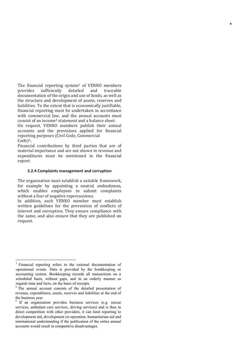The financial reporting system <sup>3</sup> of VENRO members provides sufficiently detailed and traceable documentation of the origin and use of funds, as well as the structure and development of assets, reserves and liabilities. To the extent that is economically justifiable, financial reporting must be undertaken in accordance with commercial law, and the annual accounts must consist of an income <sup>4</sup> statement and a balance sheet.

On request, VENRO members publish their annual accounts and the provisions applied for financial reporting purposes (Civil Code, Commercial Code) 5.

Financial contributions by third parties that are of material importance and are not shown in revenue and expenditures must be mentioned in the financial report.

### <span id="page-8-0"></span>**3.2.4 Complaints management and corruption**

The organisation must establish a suitable framework, for example by appointing a neutral ombudsman, which enables employees to submit complaints without a fear of negative repercussions.

In addition, each VENRO member must establish written guidelines for the prevention of conflicts of interest and corruption. They ensure compliance with the same, and also ensure that they are published on request.

 $\overline{a}$ 

<sup>&</sup>lt;sup>3</sup> Financial reporting refers to the external documentation of operational events. Data is provided by the bookkeeping or accounting system. Bookkeeping records all transactions on a scheduled basis, without gaps, and in an orderly manner as regards time and facts, on the basis of receipts.

<sup>&</sup>lt;sup>4</sup> The annual account consists of the detailed presentation of revenue, expenditures, assets, reserves and liabilities at the end of the business year.

 $5$  If an organisation provides business services (e.g. rescue services, ambulant care services, driving services) and is thus in direct competition with other providers, it can limit reporting to development aid, development co-operation, humanitarian aid and international understanding if the publication of the entire annual accounts would result in competitive disadvantages.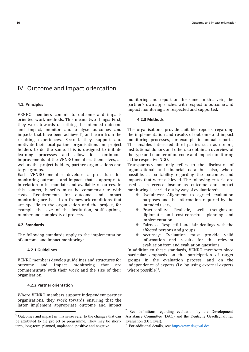### <span id="page-9-0"></span>IV. Outcome and impact orientation

### <span id="page-9-1"></span>**4.1. Principles**

VENRO members commit to outcome and impactoriented work methods. This means two things: First, they work towards describing the intended outcome and impact, monitor and analyse outcomes and impacts that have been achieved<sup>6</sup>, and learn from the resulting experiences. Second, they support and motivate their local partner organisations and project holders to do the same. This is designed to initiate learning processes and allow for continuous improvements at the VENRO members themselves, as well as the project holders, partner organisations and target groups.

Each VENRO member develops a procedure for monitoring outcomes and impacts that is appropriate in relation to its mandate and available resources. In this context, benefits must be commensurate with costs. Requirements for outcome and impact monitoring are based on framework conditions that are specific to the organisation and the project, for example the size of the institution, staff options, number and complexity of projects.

### <span id="page-9-2"></span>**4.2. Standards**

l

<span id="page-9-3"></span>The following standards apply to the implementation of outcome and impact monitoring:

### **4.2.1 Guidelines**

VENRO members develop guidelines and structures for outcome and impact monitoring that are commensurate with their work and the size of their organisation.

### <span id="page-9-4"></span>**4.2.2 Partner orientation**

Where VENRO members support independent partner organisations, they work towards ensuring that the latter implement appropriate outcome and impact monitoring and report on the same. In this vein, the partner's own approaches with respect to outcome and impact monitoring are respected and supported.

### <span id="page-9-5"></span>**4.2.3 Methods**

The organisations provide suitable reports regarding the implementation and results of outcome and impact monitoring processes, for example in annual reports. This enables interested third parties such as donors, institutional donors and others to obtain an overview of the type and manner of outcome and impact monitoring at the respective NGO.

Transparency not only refers to the disclosure of organisational and financial data but also, where possible, accountability regarding the outcomes and impacts that were achieved. The following criteria are used as reference insofar as outcome and impact monitoring is carried out by way of evaluations<sup>7</sup>:

- Usefulness: Alignment to agreed evaluation purposes and the information required by the intended users,
- Practicability: Realistic, well thought-out, diplomatic and cost-conscious planning and implementation.
- Fairness: Respectful and fair dealings with the affected persons and groups.
- Accuracy: Evaluation must provide valid information and results for the relevant evaluation item and evaluation questions.

In addition to these standards, VENRO members place particular emphasis on the participation of target groups in the evaluation process, and on the independence of experts (i.e. by using external experts where possible)<sup>8</sup>.

l

<sup>6</sup> Outcomes and impact in this sense refer to the changes that can be attributed to the project or programme. They may be shortterm, long-term, planned, unplanned, positive and negative.

<sup>7</sup> See definitions regarding evaluation by the Development Assistance Committee (DAC) and the Deutsche Gesellschaft für Evaluation (DeGEval).

<sup>&</sup>lt;sup>8</sup> For additional details, see: [http://www.degeval.de/.](http://www.degeval.de/)